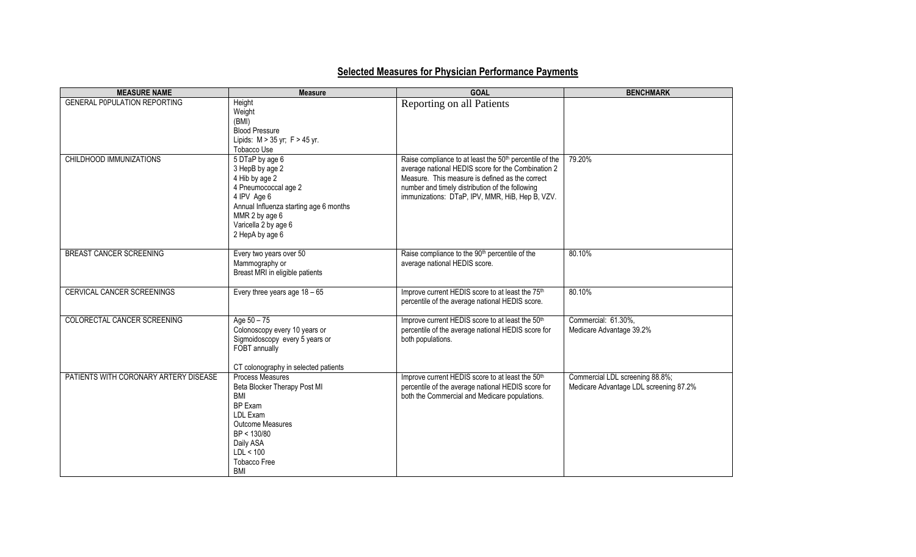## **Selected Measures for Physician Performance Payments**

| <b>MEASURE NAME</b>                   | <b>Measure</b>                                           | <b>GOAL</b>                                                                                                     | <b>BENCHMARK</b>                       |
|---------------------------------------|----------------------------------------------------------|-----------------------------------------------------------------------------------------------------------------|----------------------------------------|
| <b>GENERAL POPULATION REPORTING</b>   | Height<br>Weight                                         | Reporting on all Patients                                                                                       |                                        |
|                                       | (BMI)<br><b>Blood Pressure</b>                           |                                                                                                                 |                                        |
|                                       | Lipids: M > 35 yr; F > 45 yr.                            |                                                                                                                 |                                        |
| CHILDHOOD IMMUNIZATIONS               | Tobacco Use<br>5 DTaP by age 6                           | Raise compliance to at least the 50 <sup>th</sup> percentile of the                                             | 79.20%                                 |
|                                       | 3 HepB by age 2                                          | average national HEDIS score for the Combination 2                                                              |                                        |
|                                       | 4 Hib by age 2<br>4 Pneumococcal age 2                   | Measure. This measure is defined as the correct<br>number and timely distribution of the following              |                                        |
|                                       | 4 IPV Age 6                                              | immunizations: DTaP, IPV, MMR, HiB, Hep B, VZV.                                                                 |                                        |
|                                       | Annual Influenza starting age 6 months<br>MMR 2 by age 6 |                                                                                                                 |                                        |
|                                       | Varicella 2 by age 6                                     |                                                                                                                 |                                        |
|                                       | 2 HepA by age 6                                          |                                                                                                                 |                                        |
| <b>BREAST CANCER SCREENING</b>        | Every two years over 50                                  | Raise compliance to the 90 <sup>th</sup> percentile of the                                                      | 80.10%                                 |
|                                       | Mammography or<br>Breast MRI in eligible patients        | average national HEDIS score.                                                                                   |                                        |
|                                       |                                                          |                                                                                                                 |                                        |
| CERVICAL CANCER SCREENINGS            | Every three years age $18 - 65$                          | Improve current HEDIS score to at least the 75 <sup>th</sup><br>percentile of the average national HEDIS score. | 80.10%                                 |
|                                       |                                                          |                                                                                                                 |                                        |
| COLORECTAL CANCER SCREENING           | Age $50 - 75$<br>Colonoscopy every 10 years or           | Improve current HEDIS score to at least the 50 <sup>th</sup>                                                    | Commercial: 61.30%,                    |
|                                       | Sigmoidoscopy every 5 years or                           | percentile of the average national HEDIS score for<br>both populations.                                         | Medicare Advantage 39.2%               |
|                                       | FOBT annually                                            |                                                                                                                 |                                        |
|                                       | CT colonography in selected patients                     |                                                                                                                 |                                        |
| PATIENTS WITH CORONARY ARTERY DISEASE | <b>Process Measures</b>                                  | Improve current HEDIS score to at least the 50 <sup>th</sup>                                                    | Commercial LDL screening 88.8%;        |
|                                       | Beta Blocker Therapy Post MI<br><b>BMI</b>               | percentile of the average national HEDIS score for<br>both the Commercial and Medicare populations.             | Medicare Advantage LDL screening 87.2% |
|                                       | BP Exam                                                  |                                                                                                                 |                                        |
|                                       | LDL Exam                                                 |                                                                                                                 |                                        |
|                                       | <b>Outcome Measures</b><br>BP < 130/80                   |                                                                                                                 |                                        |
|                                       | Daily ASA                                                |                                                                                                                 |                                        |
|                                       | LDL < 100                                                |                                                                                                                 |                                        |
|                                       | <b>Tobacco Free</b>                                      |                                                                                                                 |                                        |
|                                       | <b>BMI</b>                                               |                                                                                                                 |                                        |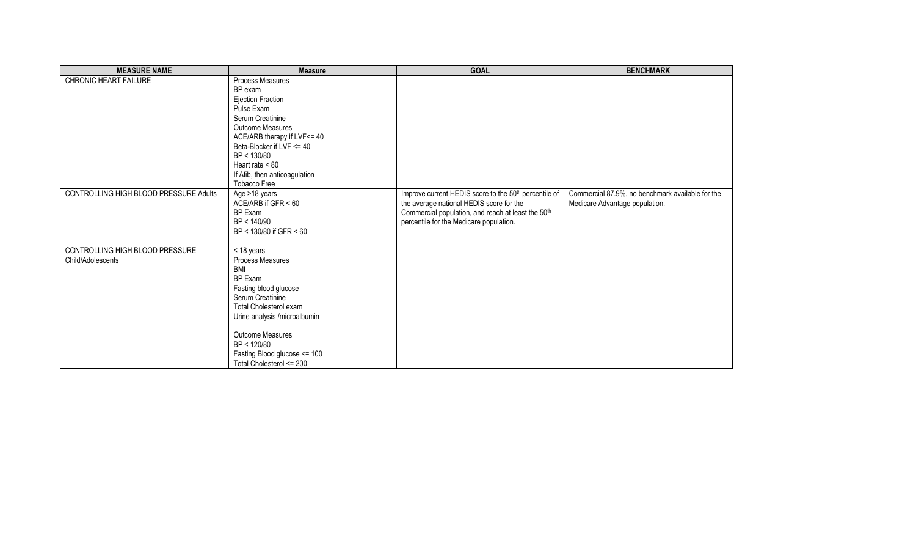| <b>MEASURE NAME</b>                                  | <b>Measure</b>                                                                                                                                                                                                                                                        | <b>GOAL</b>                                                                                                                                                                                        | <b>BENCHMARK</b>                                                                   |
|------------------------------------------------------|-----------------------------------------------------------------------------------------------------------------------------------------------------------------------------------------------------------------------------------------------------------------------|----------------------------------------------------------------------------------------------------------------------------------------------------------------------------------------------------|------------------------------------------------------------------------------------|
| <b>CHRONIC HEART FAILURE</b>                         | Process Measures<br>BP exam<br><b>Ejection Fraction</b><br>Pulse Exam<br>Serum Creatinine<br><b>Outcome Measures</b><br>ACE/ARB therapy if LVF<= 40<br>Beta-Blocker if LVF <= 40<br>BP < 130/80<br>Heart rate $< 80$<br>If Afib, then anticoagulation<br>Tobacco Free |                                                                                                                                                                                                    |                                                                                    |
| CONTROLLING HIGH BLOOD PRESSURE Adults               | Age >18 years<br>ACE/ARB if $GFR < 60$<br>BP Exam<br>BP < 140/90<br>BP < 130/80 if GFR < 60                                                                                                                                                                           | Improve current HEDIS score to the 50th percentile of<br>the average national HEDIS score for the<br>Commercial population, and reach at least the 50th<br>percentile for the Medicare population. | Commercial 87.9%, no benchmark available for the<br>Medicare Advantage population. |
| CONTROLLING HIGH BLOOD PRESSURE<br>Child/Adolescents | < 18 years<br>Process Measures<br><b>BMI</b><br><b>BP Exam</b><br>Fasting blood glucose<br>Serum Creatinine<br>Total Cholesterol exam<br>Urine analysis /microalbumin<br>Outcome Measures<br>BP < 120/80<br>Fasting Blood glucose <= 100<br>Total Cholesterol <= 200  |                                                                                                                                                                                                    |                                                                                    |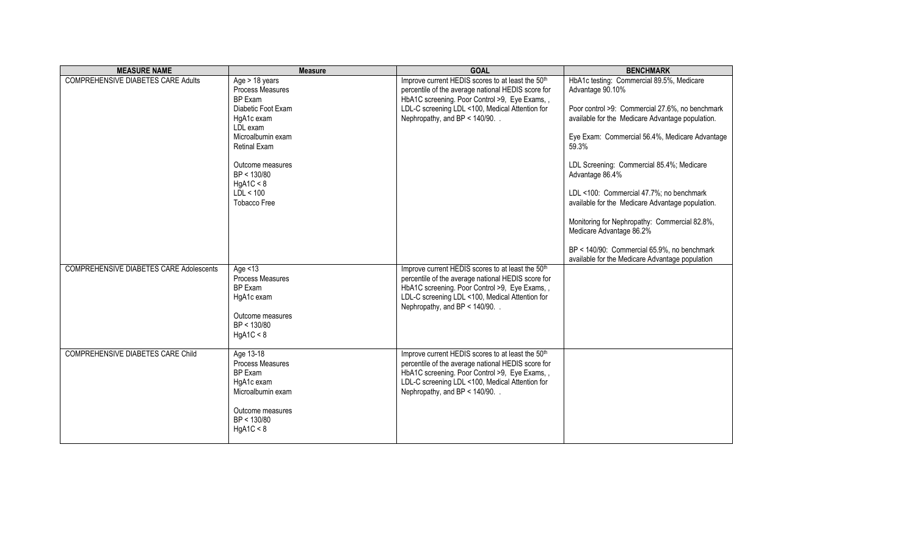| <b>MEASURE NAME</b>                            | <b>Measure</b>                       | <b>GOAL</b>                                                                        | <b>BENCHMARK</b>                                                                                    |
|------------------------------------------------|--------------------------------------|------------------------------------------------------------------------------------|-----------------------------------------------------------------------------------------------------|
| <b>COMPREHENSIVE DIABETES CARE Adults</b>      | Age $> 18$ years                     | Improve current HEDIS scores to at least the 50 <sup>th</sup>                      | HbA1c testing: Commercial 89.5%, Medicare                                                           |
|                                                | Process Measures                     | percentile of the average national HEDIS score for                                 | Advantage 90.10%                                                                                    |
|                                                | <b>BP Fxam</b><br>Diabetic Foot Exam | HbA1C screening. Poor Control >9, Eye Exams,,                                      |                                                                                                     |
|                                                | HgA1c exam                           | LDL-C screening LDL <100, Medical Attention for<br>Nephropathy, and BP < 140/90. . | Poor control >9: Commercial 27.6%, no benchmark<br>available for the Medicare Advantage population. |
|                                                | LDL exam                             |                                                                                    |                                                                                                     |
|                                                | Microalbumin exam                    |                                                                                    | Eye Exam: Commercial 56.4%, Medicare Advantage                                                      |
|                                                | <b>Retinal Exam</b>                  |                                                                                    | 59.3%                                                                                               |
|                                                |                                      |                                                                                    |                                                                                                     |
|                                                | Outcome measures                     |                                                                                    | LDL Screening: Commercial 85.4%; Medicare                                                           |
|                                                | BP < 130/80                          |                                                                                    | Advantage 86.4%                                                                                     |
|                                                | HgA1C < 8<br>LDL < 100               |                                                                                    | LDL <100: Commercial 47.7%; no benchmark                                                            |
|                                                | <b>Tobacco Free</b>                  |                                                                                    | available for the Medicare Advantage population.                                                    |
|                                                |                                      |                                                                                    |                                                                                                     |
|                                                |                                      |                                                                                    | Monitoring for Nephropathy: Commercial 82.8%,                                                       |
|                                                |                                      |                                                                                    | Medicare Advantage 86.2%                                                                            |
|                                                |                                      |                                                                                    |                                                                                                     |
|                                                |                                      |                                                                                    | BP < 140/90: Commercial 65.9%, no benchmark<br>available for the Medicare Advantage population      |
| <b>COMPREHENSIVE DIABETES CARE Adolescents</b> | Age $<$ 13                           | Improve current HEDIS scores to at least the 50 <sup>th</sup>                      |                                                                                                     |
|                                                | Process Measures                     | percentile of the average national HEDIS score for                                 |                                                                                                     |
|                                                | BP Exam                              | HbA1C screening. Poor Control >9, Eye Exams,,                                      |                                                                                                     |
|                                                | HgA1c exam                           | LDL-C screening LDL <100, Medical Attention for                                    |                                                                                                     |
|                                                |                                      | Nephropathy, and BP < 140/90. .                                                    |                                                                                                     |
|                                                | Outcome measures                     |                                                                                    |                                                                                                     |
|                                                | BP < 130/80                          |                                                                                    |                                                                                                     |
|                                                | HgA1C < 8                            |                                                                                    |                                                                                                     |
| <b>COMPREHENSIVE DIABETES CARE Child</b>       | Age 13-18                            | Improve current HEDIS scores to at least the 50 <sup>th</sup>                      |                                                                                                     |
|                                                | Process Measures                     | percentile of the average national HEDIS score for                                 |                                                                                                     |
|                                                | BP Exam                              | HbA1C screening. Poor Control >9, Eye Exams,,                                      |                                                                                                     |
|                                                | HgA1c exam                           | LDL-C screening LDL <100, Medical Attention for                                    |                                                                                                     |
|                                                | Microalbumin exam                    | Nephropathy, and BP < 140/90. .                                                    |                                                                                                     |
|                                                |                                      |                                                                                    |                                                                                                     |
|                                                | Outcome measures<br>BP < 130/80      |                                                                                    |                                                                                                     |
|                                                | HgA1C < 8                            |                                                                                    |                                                                                                     |
|                                                |                                      |                                                                                    |                                                                                                     |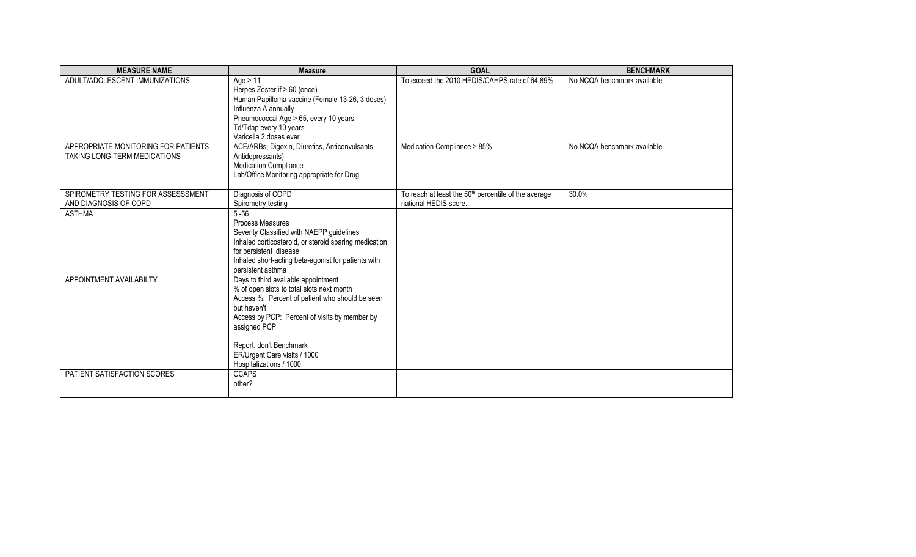| <b>MEASURE NAME</b>                                                   | <b>Measure</b>                                                                                                                                                                                                                                                                                            | <b>GOAL</b>                                                                               | <b>BENCHMARK</b>                                           |
|-----------------------------------------------------------------------|-----------------------------------------------------------------------------------------------------------------------------------------------------------------------------------------------------------------------------------------------------------------------------------------------------------|-------------------------------------------------------------------------------------------|------------------------------------------------------------|
| ADULT/ADOLESCENT IMMUNIZATIONS<br>APPROPRIATE MONITORING FOR PATIENTS | Age $> 11$<br>Herpes Zoster if > 60 (once)<br>Human Papilloma vaccine (Female 13-26, 3 doses)<br>Influenza A annually<br>Pneumococcal Age > 65, every 10 years<br>Td/Tdap every 10 years<br>Varicella 2 doses ever<br>ACE/ARBs, Digoxin, Diuretics, Anticonvulsants,                                      | To exceed the 2010 HEDIS/CAHPS rate of 64.89%.<br>Medication Compliance > 85%             | No NCQA benchmark available<br>No NCQA benchmark available |
| TAKING LONG-TERM MEDICATIONS                                          | Antidepressants)<br>Medication Compliance<br>Lab/Office Monitoring appropriate for Drug                                                                                                                                                                                                                   |                                                                                           |                                                            |
| SPIROMETRY TESTING FOR ASSESSSMENT<br>AND DIAGNOSIS OF COPD           | Diagnosis of COPD<br>Spirometry testing                                                                                                                                                                                                                                                                   | To reach at least the 50 <sup>th</sup> percentile of the average<br>national HEDIS score. | 30.0%                                                      |
| <b>ASTHMA</b>                                                         | $5 - 56$<br>Process Measures<br>Severity Classified with NAEPP guidelines<br>Inhaled corticosteroid, or steroid sparing medication<br>for persistent disease<br>Inhaled short-acting beta-agonist for patients with<br>persistent asthma                                                                  |                                                                                           |                                                            |
| APPOINTMENT AVAILABILTY                                               | Days to third available appointment<br>% of open slots to total slots next month<br>Access %: Percent of patient who should be seen<br>but haven't<br>Access by PCP: Percent of visits by member by<br>assigned PCP<br>Report, don't Benchmark<br>ER/Urgent Care visits / 1000<br>Hospitalizations / 1000 |                                                                                           |                                                            |
| PATIENT SATISFACTION SCORES                                           | <b>CCAPS</b><br>other?                                                                                                                                                                                                                                                                                    |                                                                                           |                                                            |